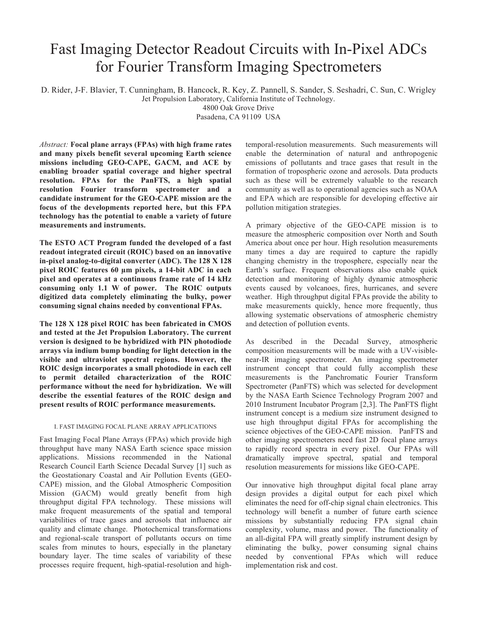# Fast Imaging Detector Readout Circuits with In-Pixel ADCs for Fourier Transform Imaging Spectrometers

D. Rider, J-F. Blavier, T. Cunningham, B. Hancock, R. Key, Z. Pannell, S. Sander, S. Seshadri, C. Sun, C. Wrigley Jet Propulsion Laboratory, California Institute of Technology.

4800 Oak Grove Drive

Pasadena, CA 91109 USA

*Abstract:* **Focal plane arrays (FPAs) with high frame rates and many pixels benefit several upcoming Earth science missions including GEO-CAPE, GACM, and ACE by enabling broader spatial coverage and higher spectral resolution. FPAs for the PanFTS, a high spatial resolution Fourier transform spectrometer and a candidate instrument for the GEO-CAPE mission are the focus of the developments reported here, but this FPA technology has the potential to enable a variety of future measurements and instruments.** 

**The ESTO ACT Program funded the developed of a fast readout integrated circuit (ROIC) based on an innovative in-pixel analog-to-digital converter (ADC). The 128 X 128 pixel ROIC features 60 m pixels, a 14-bit ADC in each pixel and operates at a continuous frame rate of 14 kHz consuming only 1.1 W of power. The ROIC outputs digitized data completely eliminating the bulky, power consuming signal chains needed by conventional FPAs.** 

**The 128 X 128 pixel ROIC has been fabricated in CMOS and tested at the Jet Propulsion Laboratory. The current version is designed to be hybridized with PIN photodiode arrays via indium bump bonding for light detection in the visible and ultraviolet spectral regions. However, the ROIC design incorporates a small photodiode in each cell to permit detailed characterization of the ROIC performance without the need for hybridization. We will describe the essential features of the ROIC design and present results of ROIC performance measurements.** 

## I. FAST IMAGING FOCAL PLANE ARRAY APPLICATIONS

Fast Imaging Focal Plane Arrays (FPAs) which provide high throughput have many NASA Earth science space mission applications. Missions recommended in the National Research Council Earth Science Decadal Survey [1] such as the Geostationary Coastal and Air Pollution Events (GEO-CAPE) mission, and the Global Atmospheric Composition Mission (GACM) would greatly benefit from high throughput digital FPA technology. These missions will make frequent measurements of the spatial and temporal variabilities of trace gases and aerosols that influence air quality and climate change. Photochemical transformations and regional-scale transport of pollutants occurs on time scales from minutes to hours, especially in the planetary boundary layer. The time scales of variability of these processes require frequent, high-spatial-resolution and hightemporal-resolution measurements. Such measurements will enable the determination of natural and anthropogenic emissions of pollutants and trace gases that result in the formation of tropospheric ozone and aerosols. Data products such as these will be extremely valuable to the research community as well as to operational agencies such as NOAA and EPA which are responsible for developing effective air pollution mitigation strategies.

A primary objective of the GEO-CAPE mission is to measure the atmospheric composition over North and South America about once per hour. High resolution measurements many times a day are required to capture the rapidly changing chemistry in the troposphere, especially near the Earth's surface. Frequent observations also enable quick detection and monitoring of highly dynamic atmospheric events caused by volcanoes, fires, hurricanes, and severe weather. High throughput digital FPAs provide the ability to make measurements quickly, hence more frequently, thus allowing systematic observations of atmospheric chemistry and detection of pollution events.

As described in the Decadal Survey, atmospheric composition measurements will be made with a UV-visiblenear-IR imaging spectrometer. An imaging spectrometer instrument concept that could fully accomplish these measurements is the Panchromatic Fourier Transform Spectrometer (PanFTS) which was selected for development by the NASA Earth Science Technology Program 2007 and 2010 Instrument Incubator Program [2,3]. The PanFTS flight instrument concept is a medium size instrument designed to use high throughput digital FPAs for accomplishing the science objectives of the GEO-CAPE mission. PanFTS and other imaging spectrometers need fast 2D focal plane arrays to rapidly record spectra in every pixel. Our FPAs will dramatically improve spectral, spatial and temporal resolution measurements for missions like GEO-CAPE.

Our innovative high throughput digital focal plane array design provides a digital output for each pixel which eliminates the need for off-chip signal chain electronics. This technology will benefit a number of future earth science missions by substantially reducing FPA signal chain complexity, volume, mass and power. The functionality of an all-digital FPA will greatly simplify instrument design by eliminating the bulky, power consuming signal chains needed by conventional FPAs which will reduce implementation risk and cost.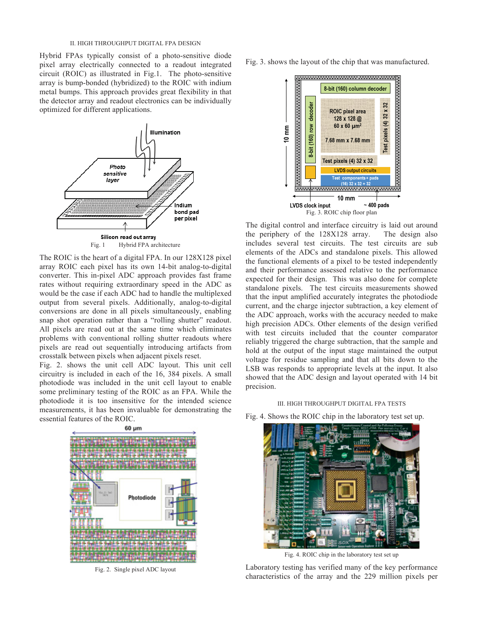## II. HIGH THROUGHPUT DIGITAL FPA DESIGN

Hybrid FPAs typically consist of a photo-sensitive diode pixel array electrically connected to a readout integrated circuit (ROIC) as illustrated in Fig.1. The photo-sensitive array is bump-bonded (hybridized) to the ROIC with indium metal bumps. This approach provides great flexibility in that the detector array and readout electronics can be individually optimized for different applications.



The ROIC is the heart of a digital FPA. In our 128X128 pixel array ROIC each pixel has its own 14-bit analog-to-digital converter. This in-pixel ADC approach provides fast frame rates without requiring extraordinary speed in the ADC as would be the case if each ADC had to handle the multiplexed output from several pixels. Additionally, analog-to-digital conversions are done in all pixels simultaneously, enabling snap shot operation rather than a "rolling shutter" readout. All pixels are read out at the same time which eliminates problems with conventional rolling shutter readouts where pixels are read out sequentially introducing artifacts from crosstalk between pixels when adjacent pixels reset.

Fig. 2. shows the unit cell ADC layout. This unit cell circuitry is included in each of the 16, 384 pixels. A small photodiode was included in the unit cell layout to enable some preliminary testing of the ROIC as an FPA. While the photodiode it is too insensitive for the intended science measurements, it has been invaluable for demonstrating the essential features of the ROIC.



Fig. 2. Single pixel ADC layout

Fig. 3. shows the layout of the chip that was manufactured.



The digital control and interface circuitry is laid out around the periphery of the 128X128 array. The design also includes several test circuits. The test circuits are sub elements of the ADCs and standalone pixels. This allowed the functional elements of a pixel to be tested independently and their performance assessed relative to the performance expected for their design. This was also done for complete standalone pixels. The test circuits measurements showed that the input amplified accurately integrates the photodiode current, and the charge injector subtraction, a key element of the ADC approach, works with the accuracy needed to make high precision ADCs. Other elements of the design verified with test circuits included that the counter comparator reliably triggered the charge subtraction, that the sample and hold at the output of the input stage maintained the output voltage for residue sampling and that all bits down to the LSB was responds to appropriate levels at the input. It also showed that the ADC design and layout operated with 14 bit precision.

## III. HIGH THROUGHPUT DIGITAL FPA TESTS

Fig. 4. Shows the ROIC chip in the laboratory test set up.



Fig. 4. ROIC chip in the laboratory test set up

Laboratory testing has verified many of the key performance characteristics of the array and the 229 million pixels per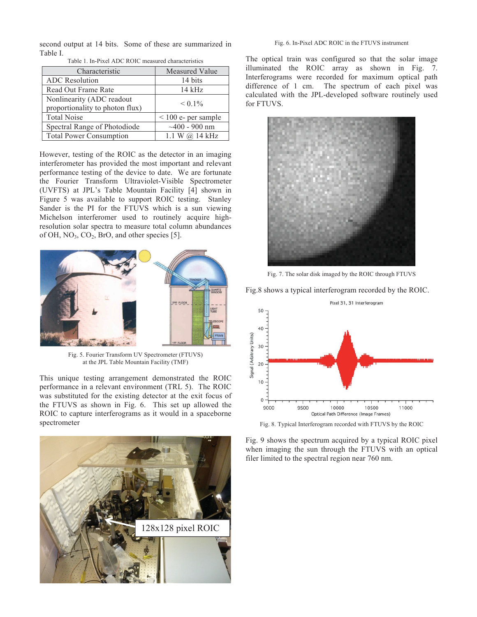second output at 14 bits. Some of these are summarized in Table I.

| Characteristic                                               | Measured Value           |
|--------------------------------------------------------------|--------------------------|
| <b>ADC</b> Resolution                                        | 14 bits                  |
| Read Out Frame Rate                                          | $14$ kHz                 |
| Nonlinearity (ADC readout<br>proportionality to photon flux) | $< 0.1\%$                |
| <b>Total Noise</b>                                           | $\leq 100$ e- per sample |
| Spectral Range of Photodiode                                 | $~100 - 900$ nm          |
| <b>Total Power Consumption</b>                               | 1.1 W @ 14 kHz           |

Table 1. In-Pixel ADC ROIC measured characteristics

However, testing of the ROIC as the detector in an imaging interferometer has provided the most important and relevant performance testing of the device to date. We are fortunate the Fourier Transform Ultraviolet-Visible Spectrometer (UVFTS) at JPL's Table Mountain Facility [4] shown in Figure 5 was available to support ROIC testing. Stanley Sander is the PI for the FTUVS which is a sun viewing Michelson interferomer used to routinely acquire highresolution solar spectra to measure total column abundances of OH, NO3, CO2, BrO, and other species [5].



Fig. 5. Fourier Transform UV Spectrometer (FTUVS) at the JPL Table Mountain Facility (TMF)

This unique testing arrangement demonstrated the ROIC performance in a relevant environment (TRL 5). The ROIC was substituted for the existing detector at the exit focus of the FTUVS as shown in Fig. 6. This set up allowed the ROIC to capture interferograms as it would in a spaceborne spectrometer



#### Fig. 6. In-Pixel ADC ROIC in the FTUVS instrument

The optical train was configured so that the solar image illuminated the ROIC array as shown in Fig. 7. Interferograms were recorded for maximum optical path difference of 1 cm. The spectrum of each pixel was calculated with the JPL-developed software routinely used for FTUVS.



Fig. 7. The solar disk imaged by the ROIC through FTUVS

Fig.8 shows a typical interferogram recorded by the ROIC.



Fig. 8. Typical Interferogram recorded with FTUVS by the ROIC

Fig. 9 shows the spectrum acquired by a typical ROIC pixel when imaging the sun through the FTUVS with an optical filer limited to the spectral region near 760 nm.